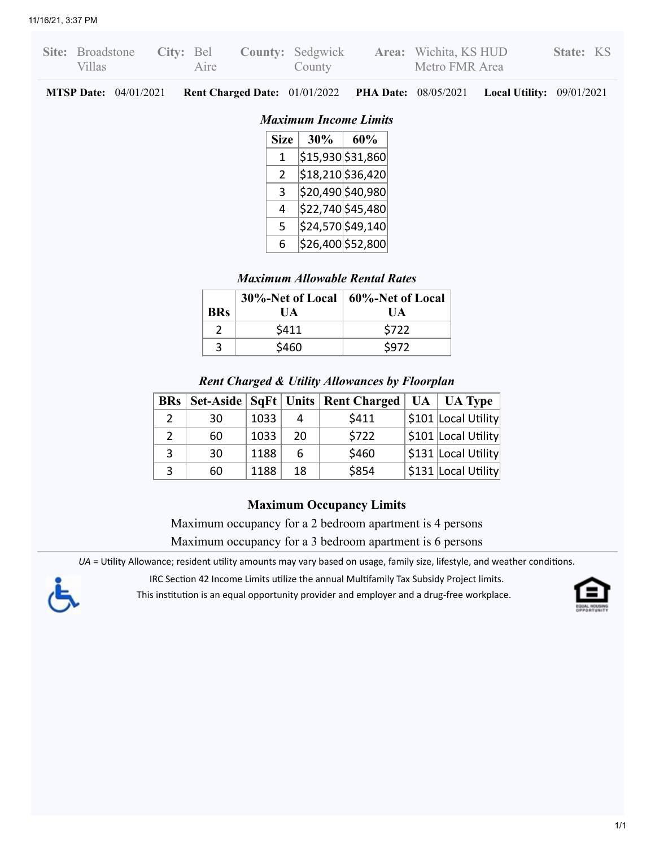| Site: Broadstone<br>City: Bel<br>Aire<br><b>Villas</b>                                             |             | County |                      | <b>County:</b> Sedgwick <b>Area:</b> Wichita, KS HUD<br>Metro FMR Area |                                    | State: KS |  |
|----------------------------------------------------------------------------------------------------|-------------|--------|----------------------|------------------------------------------------------------------------|------------------------------------|-----------|--|
| <b>MTSP Date:</b> $04/01/2021$<br><b>Rent Charged Date:</b> 01/01/2022 <b>PHA Date:</b> 08/05/2021 |             |        |                      |                                                                        | <b>Local Utility:</b> $09/01/2021$ |           |  |
| <b>Maximum Income Limits</b>                                                                       |             |        |                      |                                                                        |                                    |           |  |
|                                                                                                    | <b>Size</b> | 30%    | 60%                  |                                                                        |                                    |           |  |
|                                                                                                    |             |        | $ $15,930$ $$31,860$ |                                                                        |                                    |           |  |
|                                                                                                    | 2           |        | \$18,210 \$36,420    |                                                                        |                                    |           |  |
|                                                                                                    | 3           |        | \$20,490 \$40,980    |                                                                        |                                    |           |  |
|                                                                                                    | 4           |        | \$22,740 \$45,480    |                                                                        |                                    |           |  |

 $5$   $|$24,570$  $|$49,140$  $6$  | \$26,400 | \$52,800 |

*Maximum Allowable Rental Rates*

**60%-Net of Local UA**

**30%-Net of Local UA**

**BRs**

## *Rent Charged & Utility Allowances by Floorplan*

 $2 \mid$  \$411 \$722  $3 \mid$  \$460  $\mid$  \$972

|   |    |      |    | <b>BRs</b> Set-Aside SqFt Units Rent Charged   UA   UA Type |                             |
|---|----|------|----|-------------------------------------------------------------|-----------------------------|
|   | 30 | 1033 | Δ  | \$411                                                       | $\vert$ \$101 Local Utility |
|   | 60 | 1033 | 20 | \$722                                                       | \$101 Local Utility         |
| 3 | 30 | 1188 | 6  | \$460                                                       | $\vert$ \$131 Local Utility |
| 3 | 60 | 1188 | 18 | \$854                                                       | $\vert$ \$131 Local Utility |

## **Maximum Occupancy Limits**

Maximum occupancy for a 2 bedroom apartment is 4 persons

Maximum occupancy for a 3 bedroom apartment is 6 persons

*UA* = Utility Allowance; resident utility amounts may vary based on usage, family size, lifestyle, and weather conditions.

IRC Section 42 Income Limits utilize the annual Multifamily Tax Subsidy Project limits.

This institution is an equal opportunity provider and employer and a drug-free workplace.